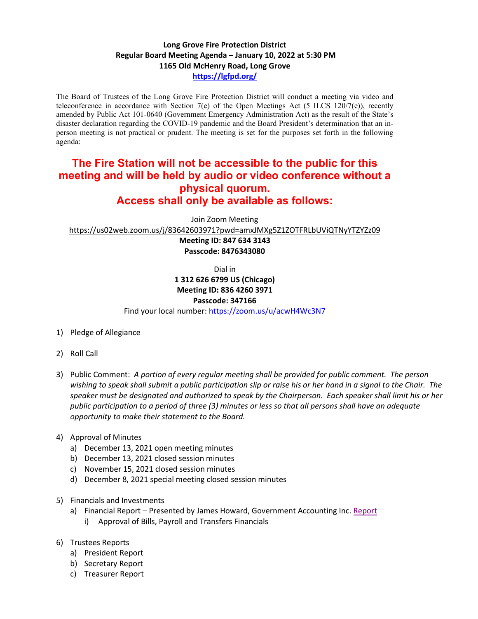## **Long Grove Fire Protection District Regular Board Meeting Agenda – January 10, 2022 at 5:30 PM 1165 Old McHenry Road, Long Grove <https://lgfpd.org/>**

The Board of Trustees of the Long Grove Fire Protection District will conduct a meeting via video and teleconference in accordance with Section 7(e) of the Open Meetings Act (5 ILCS 120/7(e)), recently amended by Public Act 101-0640 (Government Emergency Administration Act) as the result of the State's disaster declaration regarding the COVID-19 pandemic and the Board President's determination that an inperson meeting is not practical or prudent. The meeting is set for the purposes set forth in the following agenda:

## **The Fire Station will not be accessible to the public for this meeting and will be held by audio or video conference without a physical quorum. Access shall only be available as follows:**

Join Zoom Meeting

<https://us02web.zoom.us/j/83642603971?pwd=amxJMXg5Z1ZOTFRLbUViQTNyYTZYZz09>

**Meeting ID: 847 634 3143 Passcode: 8476343080**

Dial in

## **1 312 626 6799 US (Chicago)**

**Meeting ID: 836 4260 3971**

**Passcode: 347166**

Find your local number[: https://zoom.us/u/acwH4Wc3N7](https://zoom.us/u/acwH4Wc3N7)

- 1) Pledge of Allegiance
- 2) Roll Call
- 3) Public Comment: *A portion of every regular meeting shall be provided for public comment. The person wishing to speak shall submit a public participation slip or raise his or her hand in a signal to the Chair. The speaker must be designated and authorized to speak by the Chairperson. Each speaker shall limit his or her public participation to a period of three (3) minutes or less so that all persons shall have an adequate opportunity to make their statement to the Board.*
- 4) Approval of Minutes
	- a) December 13, 2021 open meeting minutes
	- b) December 13, 2021 closed session minutes
	- c) November 15, 2021 closed session minutes
	- d) December 8, 2021 special meeting closed session minutes
- 5) Financials and Investments
	- a) Financial Report Presented by James Howard, Government Accounting Inc. [Report](https://itgophers.sharepoint.com/:b:/s/SharedDocs/Ee2eT0uDQTpPpDMhSUxpmoYB2Vb14YjNLpo83qBy_-IXfw?e=Z1KA3T)
		- i) Approval of Bills, Payroll and Transfers Financials
- 6) Trustees Reports
	- a) President Report
	- b) Secretary Report
	- c) Treasurer Report